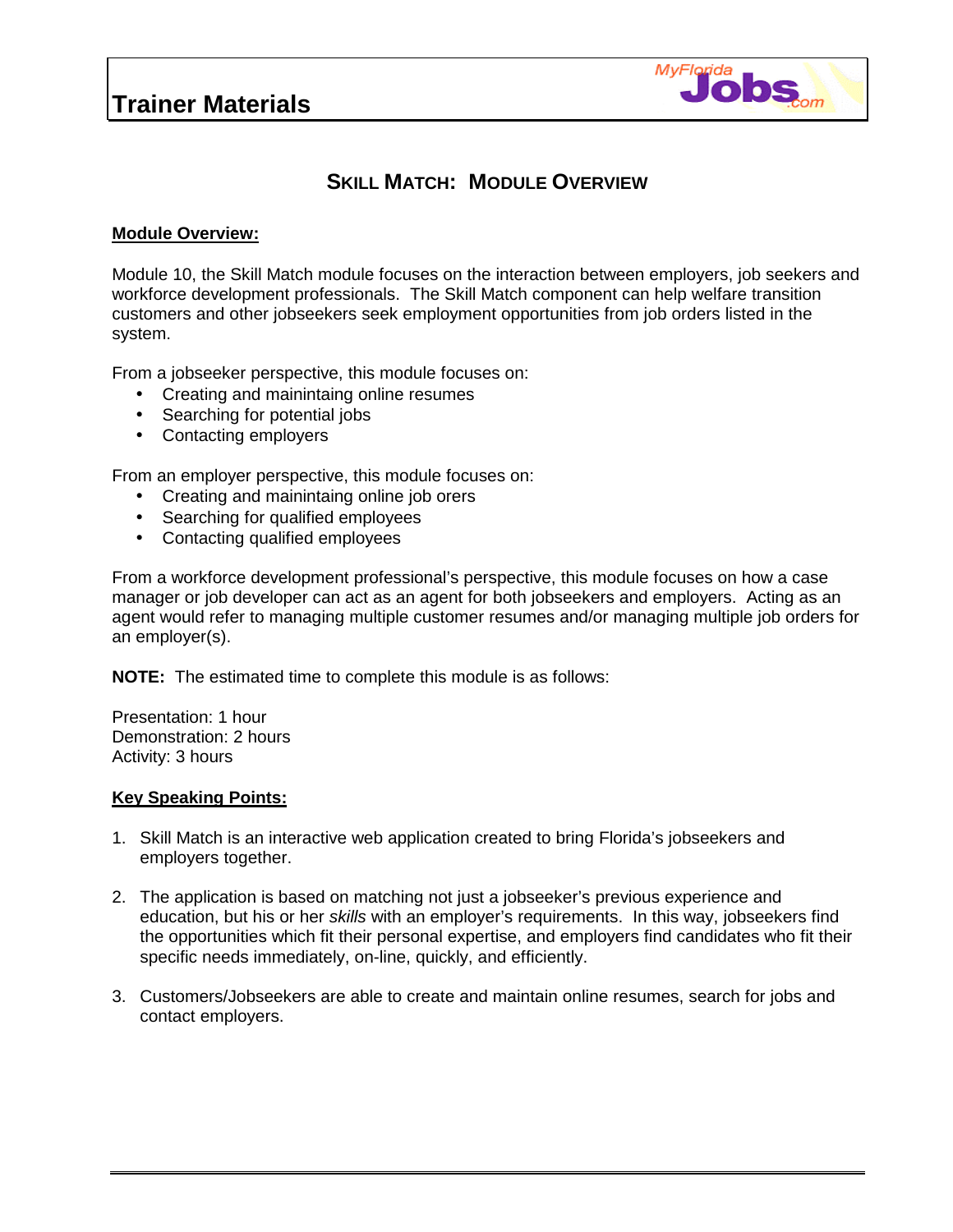## **Trainer Materials**



### **SKILL MATCH: MODULE OVERVIEW**

#### **Module Overview:**

Module 10, the Skill Match module focuses on the interaction between employers, job seekers and workforce development professionals. The Skill Match component can help welfare transition customers and other jobseekers seek employment opportunities from job orders listed in the system.

From a jobseeker perspective, this module focuses on:

- Creating and mainintaing online resumes
- Searching for potential jobs
- Contacting employers

From an employer perspective, this module focuses on:

- Creating and mainintaing online job orers
- Searching for qualified employees
- Contacting qualified employees

From a workforce development professional's perspective, this module focuses on how a case manager or job developer can act as an agent for both jobseekers and employers. Acting as an agent would refer to managing multiple customer resumes and/or managing multiple job orders for an employer(s).

**NOTE:** The estimated time to complete this module is as follows:

Presentation: 1 hour Demonstration: 2 hours Activity: 3 hours

#### **Key Speaking Points:**

- 1. Skill Match is an interactive web application created to bring Florida's jobseekers and employers together.
- 2. The application is based on matching not just a jobseeker's previous experience and education, but his or her *skills* with an employer's requirements. In this way, jobseekers find the opportunities which fit their personal expertise, and employers find candidates who fit their specific needs immediately, on-line, quickly, and efficiently.
- 3. Customers/Jobseekers are able to create and maintain online resumes, search for jobs and contact employers.